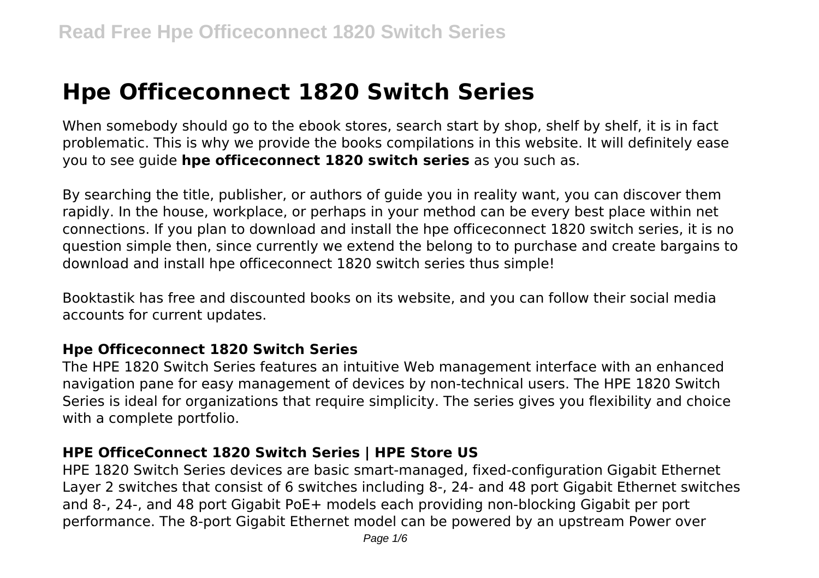# **Hpe Officeconnect 1820 Switch Series**

When somebody should go to the ebook stores, search start by shop, shelf by shelf, it is in fact problematic. This is why we provide the books compilations in this website. It will definitely ease you to see guide **hpe officeconnect 1820 switch series** as you such as.

By searching the title, publisher, or authors of guide you in reality want, you can discover them rapidly. In the house, workplace, or perhaps in your method can be every best place within net connections. If you plan to download and install the hpe officeconnect 1820 switch series, it is no question simple then, since currently we extend the belong to to purchase and create bargains to download and install hpe officeconnect 1820 switch series thus simple!

Booktastik has free and discounted books on its website, and you can follow their social media accounts for current updates.

#### **Hpe Officeconnect 1820 Switch Series**

The HPE 1820 Switch Series features an intuitive Web management interface with an enhanced navigation pane for easy management of devices by non-technical users. The HPE 1820 Switch Series is ideal for organizations that require simplicity. The series gives you flexibility and choice with a complete portfolio.

#### **HPE OfficeConnect 1820 Switch Series | HPE Store US**

HPE 1820 Switch Series devices are basic smart-managed, fixed-configuration Gigabit Ethernet Layer 2 switches that consist of 6 switches including 8-, 24- and 48 port Gigabit Ethernet switches and 8-, 24-, and 48 port Gigabit PoE+ models each providing non-blocking Gigabit per port performance. The 8-port Gigabit Ethernet model can be powered by an upstream Power over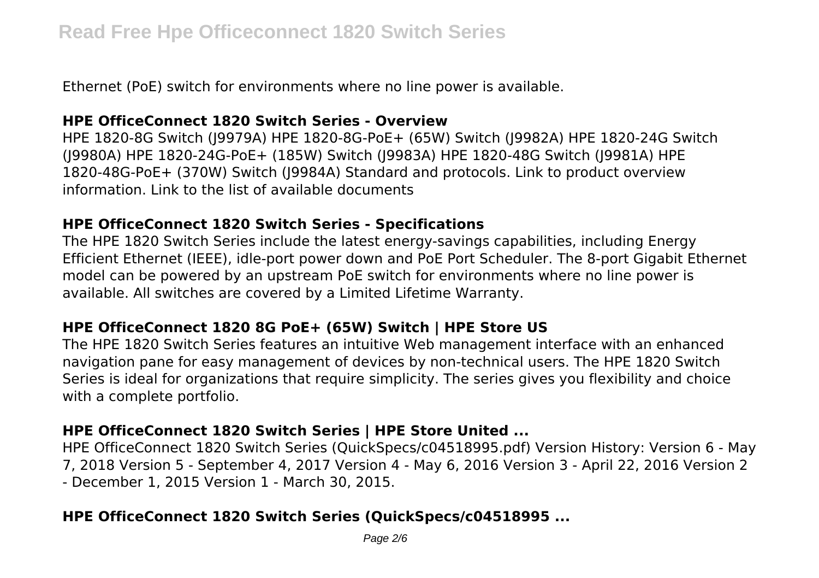Ethernet (PoE) switch for environments where no line power is available.

#### **HPE OfficeConnect 1820 Switch Series - Overview**

HPE 1820-8G Switch (J9979A) HPE 1820-8G-PoE+ (65W) Switch (J9982A) HPE 1820-24G Switch (J9980A) HPE 1820-24G-PoE+ (185W) Switch (J9983A) HPE 1820-48G Switch (J9981A) HPE 1820-48G-PoE+ (370W) Switch (J9984A) Standard and protocols. Link to product overview information. Link to the list of available documents

#### **HPE OfficeConnect 1820 Switch Series - Specifications**

The HPE 1820 Switch Series include the latest energy-savings capabilities, including Energy Efficient Ethernet (IEEE), idle-port power down and PoE Port Scheduler. The 8-port Gigabit Ethernet model can be powered by an upstream PoE switch for environments where no line power is available. All switches are covered by a Limited Lifetime Warranty.

# **HPE OfficeConnect 1820 8G PoE+ (65W) Switch | HPE Store US**

The HPE 1820 Switch Series features an intuitive Web management interface with an enhanced navigation pane for easy management of devices by non-technical users. The HPE 1820 Switch Series is ideal for organizations that require simplicity. The series gives you flexibility and choice with a complete portfolio.

# **HPE OfficeConnect 1820 Switch Series | HPE Store United ...**

HPE OfficeConnect 1820 Switch Series (QuickSpecs/c04518995.pdf) Version History: Version 6 - May 7, 2018 Version 5 - September 4, 2017 Version 4 - May 6, 2016 Version 3 - April 22, 2016 Version 2 - December 1, 2015 Version 1 - March 30, 2015.

# **HPE OfficeConnect 1820 Switch Series (QuickSpecs/c04518995 ...**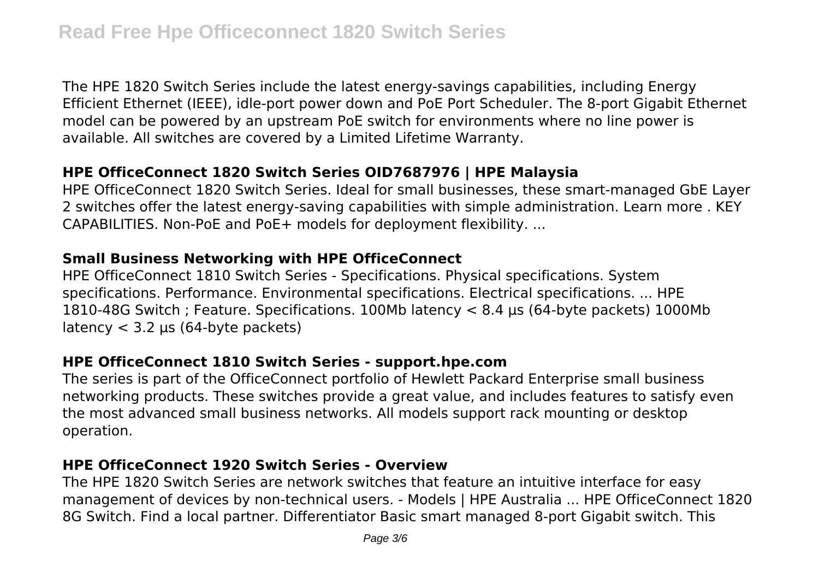The HPE 1820 Switch Series include the latest energy-savings capabilities, including Energy Efficient Ethernet (IEEE), idle-port power down and PoE Port Scheduler. The 8-port Gigabit Ethernet model can be powered by an upstream PoE switch for environments where no line power is available. All switches are covered by a Limited Lifetime Warranty.

# **HPE OfficeConnect 1820 Switch Series OID7687976 | HPE Malaysia**

HPE OfficeConnect 1820 Switch Series. Ideal for small businesses, these smart-managed GbE Layer 2 switches offer the latest energy-saving capabilities with simple administration. Learn more . KEY CAPABILITIES. Non-PoE and PoE+ models for deployment flexibility. ...

#### **Small Business Networking with HPE OfficeConnect**

HPE OfficeConnect 1810 Switch Series - Specifications. Physical specifications. System specifications. Performance. Environmental specifications. Electrical specifications. ... HPE 1810-48G Switch ; Feature. Specifications. 100Mb latency < 8.4 µs (64-byte packets) 1000Mb latency  $<$  3.2 µs (64-byte packets)

#### **HPE OfficeConnect 1810 Switch Series - support.hpe.com**

The series is part of the OfficeConnect portfolio of Hewlett Packard Enterprise small business networking products. These switches provide a great value, and includes features to satisfy even the most advanced small business networks. All models support rack mounting or desktop operation.

#### **HPE OfficeConnect 1920 Switch Series - Overview**

The HPE 1820 Switch Series are network switches that feature an intuitive interface for easy management of devices by non-technical users. - Models | HPE Australia ... HPE OfficeConnect 1820 8G Switch. Find a local partner. Differentiator Basic smart managed 8-port Gigabit switch. This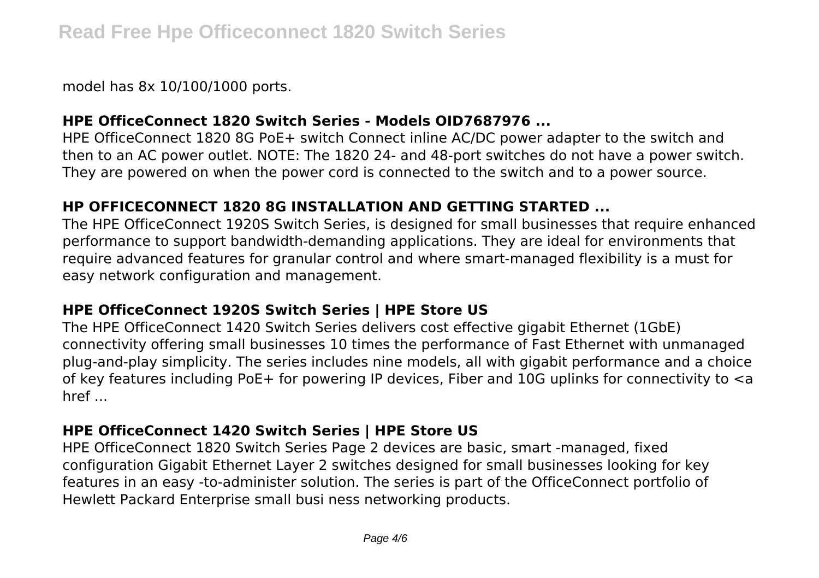model has 8x 10/100/1000 ports.

# **HPE OfficeConnect 1820 Switch Series - Models OID7687976 ...**

HPE OfficeConnect 1820 8G PoE+ switch Connect inline AC/DC power adapter to the switch and then to an AC power outlet. NOTE: The 1820 24- and 48-port switches do not have a power switch. They are powered on when the power cord is connected to the switch and to a power source.

# **HP OFFICECONNECT 1820 8G INSTALLATION AND GETTING STARTED ...**

The HPE OfficeConnect 1920S Switch Series, is designed for small businesses that require enhanced performance to support bandwidth-demanding applications. They are ideal for environments that require advanced features for granular control and where smart-managed flexibility is a must for easy network configuration and management.

#### **HPE OfficeConnect 1920S Switch Series | HPE Store US**

The HPE OfficeConnect 1420 Switch Series delivers cost effective gigabit Ethernet (1GbE) connectivity offering small businesses 10 times the performance of Fast Ethernet with unmanaged plug-and-play simplicity. The series includes nine models, all with gigabit performance and a choice of key features including PoE+ for powering IP devices, Fiber and 10G uplinks for connectivity to <a href ...

# **HPE OfficeConnect 1420 Switch Series | HPE Store US**

HPE OfficeConnect 1820 Switch Series Page 2 devices are basic, smart -managed, fixed configuration Gigabit Ethernet Layer 2 switches designed for small businesses looking for key features in an easy -to-administer solution. The series is part of the OfficeConnect portfolio of Hewlett Packard Enterprise small busi ness networking products.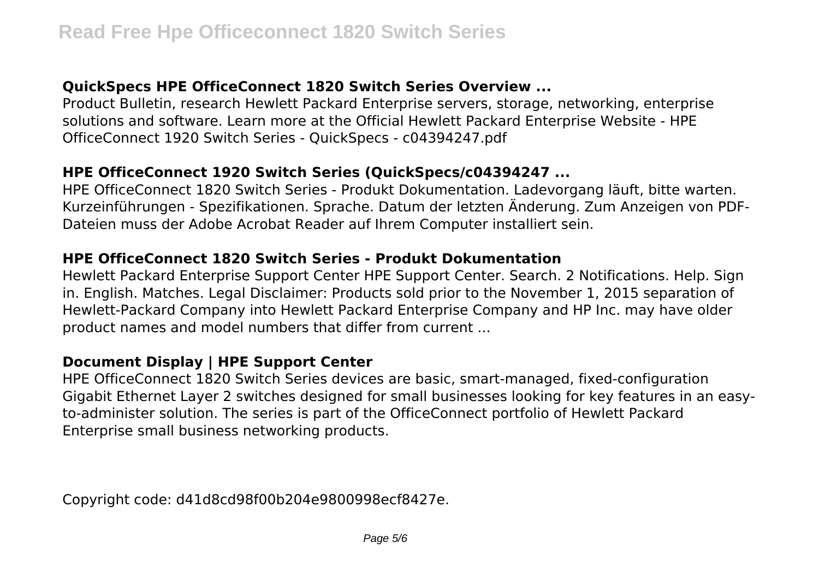# **QuickSpecs HPE OfficeConnect 1820 Switch Series Overview ...**

Product Bulletin, research Hewlett Packard Enterprise servers, storage, networking, enterprise solutions and software. Learn more at the Official Hewlett Packard Enterprise Website - HPE OfficeConnect 1920 Switch Series - QuickSpecs - c04394247.pdf

#### **HPE OfficeConnect 1920 Switch Series (QuickSpecs/c04394247 ...**

HPE OfficeConnect 1820 Switch Series - Produkt Dokumentation. Ladevorgang läuft, bitte warten. Kurzeinführungen - Spezifikationen. Sprache. Datum der letzten Änderung. Zum Anzeigen von PDF-Dateien muss der Adobe Acrobat Reader auf Ihrem Computer installiert sein.

#### **HPE OfficeConnect 1820 Switch Series - Produkt Dokumentation**

Hewlett Packard Enterprise Support Center HPE Support Center. Search. 2 Notifications. Help. Sign in. English. Matches. Legal Disclaimer: Products sold prior to the November 1, 2015 separation of Hewlett-Packard Company into Hewlett Packard Enterprise Company and HP Inc. may have older product names and model numbers that differ from current ...

#### **Document Display | HPE Support Center**

HPE OfficeConnect 1820 Switch Series devices are basic, smart-managed, fixed-configuration Gigabit Ethernet Layer 2 switches designed for small businesses looking for key features in an easyto-administer solution. The series is part of the OfficeConnect portfolio of Hewlett Packard Enterprise small business networking products.

Copyright code: d41d8cd98f00b204e9800998ecf8427e.